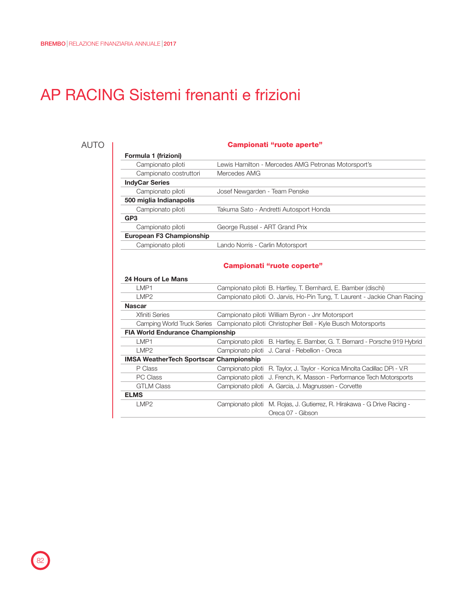## AP RACING Sistemi frenanti e frizioni

## AUTO

| Campionati "ruote aperte" |                                                     |  |  |  |
|---------------------------|-----------------------------------------------------|--|--|--|
| Formula 1 (frizioni)      |                                                     |  |  |  |
| Campionato piloti         | Lewis Hamilton - Mercedes AMG Petronas Motorsport's |  |  |  |
| Campionato costruttori    | Mercedes AMG                                        |  |  |  |
| <b>IndyCar Series</b>     |                                                     |  |  |  |
| Campionato piloti         | Josef Newgarden - Team Penske                       |  |  |  |
| 500 miglia Indianapolis   |                                                     |  |  |  |
| Campionato piloti         | Takuma Sato - Andretti Autosport Honda              |  |  |  |
| GP <sub>3</sub>           |                                                     |  |  |  |
| Campionato piloti         | George Russel - ART Grand Prix                      |  |  |  |
| European F3 Championship  |                                                     |  |  |  |
| Campionato piloti         | Lando Norris - Carlin Motorsport                    |  |  |  |
|                           | Campionati "ruote coperte"                          |  |  |  |

| 24 Hours of Le Mans |  |
|---------------------|--|
|---------------------|--|

| LMP1                                           | Campionato piloti B. Hartley, T. Bernhard, E. Bamber (dischi)                          |
|------------------------------------------------|----------------------------------------------------------------------------------------|
| IMP <sub>2</sub>                               | Campionato piloti O. Jarvis, Ho-Pin Tung, T. Laurent - Jackie Chan Racing              |
| <b>Nascar</b>                                  |                                                                                        |
| <b>Xfiniti Series</b>                          | Campionato piloti William Byron - Jnr Motorsport                                       |
|                                                | Camping World Truck Series Campionato piloti Christopher Bell - Kyle Busch Motorsports |
| <b>FIA World Endurance Championship</b>        |                                                                                        |
| LMP1                                           | Campionato piloti B. Hartley, E. Bamber, G. T. Bernard - Porsche 919 Hybrid            |
| LMP <sub>2</sub>                               | Campionato piloti J. Canal - Rebellion - Oreca                                         |
| <b>IMSA WeatherTech Sportscar Championship</b> |                                                                                        |
| P Class                                        | Campionato piloti R. Taylor, J. Taylor - Konica Minolta Cadillac DPi - V.R             |
| <b>PC Class</b>                                | Campionato piloti J. French, K. Masson - Performance Tech Motorsports                  |
| <b>GTLM Class</b>                              | Campionato piloti A. Garcia, J. Magnussen - Corvette                                   |
| <b>ELMS</b>                                    |                                                                                        |
| LMP2                                           | Campionato piloti M. Rojas, J. Gutierrez, R. Hirakawa - G Drive Racing -               |
|                                                | Oreca 07 - Gibson                                                                      |

82